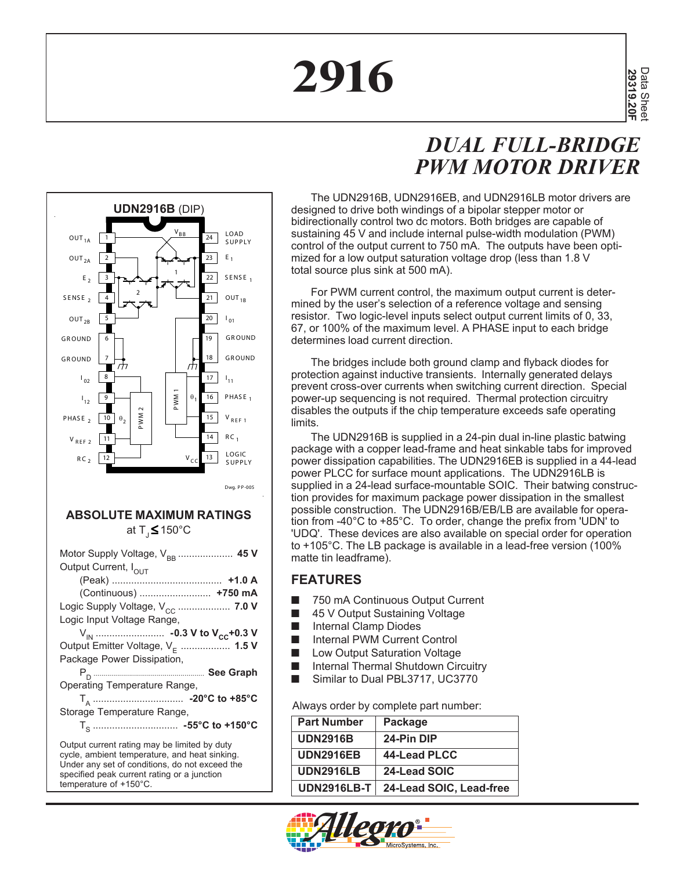# **2916**

## *DUAL FULL-BRIDGE PWM MOTOR DRIVER*



#### **ABSOLUTE MAXIMUM RATINGS** at  $T$ <sub>1</sub> $\leq$  150 $^{\circ}$ C

| Output Current, I <sub>OUT</sub>                                                                                                                                                               |
|------------------------------------------------------------------------------------------------------------------------------------------------------------------------------------------------|
|                                                                                                                                                                                                |
| (Continuous)  +750 mA                                                                                                                                                                          |
| Logic Supply Voltage, V <sub>CC</sub> 7.0 V                                                                                                                                                    |
| Logic Input Voltage Range,                                                                                                                                                                     |
|                                                                                                                                                                                                |
| Output Emitter Voltage, V <sub>F</sub> 1.5 V                                                                                                                                                   |
| Package Power Dissipation,                                                                                                                                                                     |
|                                                                                                                                                                                                |
| Operating Temperature Range,                                                                                                                                                                   |
|                                                                                                                                                                                                |
| Storage Temperature Range,                                                                                                                                                                     |
|                                                                                                                                                                                                |
| Output current rating may be limited by duty<br>cycle, ambient temperature, and heat sinking.<br>Under any set of conditions, do not exceed the<br>specified peak current rating or a junction |

temperature of +150°C.

The UDN2916B, UDN2916EB, and UDN2916LB motor drivers are designed to drive both windings of a bipolar stepper motor or bidirectionally control two dc motors. Both bridges are capable of sustaining 45 V and include internal pulse-width modulation (PWM) control of the output current to 750 mA. The outputs have been optimized for a low output saturation voltage drop (less than 1.8 V total source plus sink at 500 mA).

For PWM current control, the maximum output current is determined by the user's selection of a reference voltage and sensing resistor. Two logic-level inputs select output current limits of 0, 33, 67, or 100% of the maximum level. A PHASE input to each bridge determines load current direction.

The bridges include both ground clamp and flyback diodes for protection against inductive transients. Internally generated delays prevent cross-over currents when switching current direction. Special power-up sequencing is not required. Thermal protection circuitry disables the outputs if the chip temperature exceeds safe operating limits.

The UDN2916B is supplied in a 24-pin dual in-line plastic batwing package with a copper lead-frame and heat sinkable tabs for improved power dissipation capabilities. The UDN2916EB is supplied in a 44-lead power PLCC for surface mount applications. The UDN2916LB is supplied in a 24-lead surface-mountable SOIC. Their batwing construction provides for maximum package power dissipation in the smallest possible construction. The UDN2916B/EB/LB are available for operation from -40°C to +85°C. To order, change the prefix from 'UDN' to 'UDQ'. These devices are also available on special order for operation to +105°C. The LB package is available in a lead-free version (100% matte tin leadframe).

#### **FEATURES**

- 750 mA Continuous Output Current
- 45 V Output Sustaining Voltage
- Internal Clamp Diodes
- Internal PWM Current Control
- **Low Output Saturation Voltage**
- Internal Thermal Shutdown Circuitry
- Similar to Dual PBL3717, UC3770

Always order by complete part number:

| <b>Part Number</b> | Package                 |
|--------------------|-------------------------|
| <b>UDN2916B</b>    | 24-Pin DIP              |
| <b>UDN2916EB</b>   | 44-Lead PLCC            |
| <b>UDN2916LB</b>   | 24-Lead SOIC            |
| <b>UDN2916LB-T</b> | 24-Lead SOIC, Lead-free |

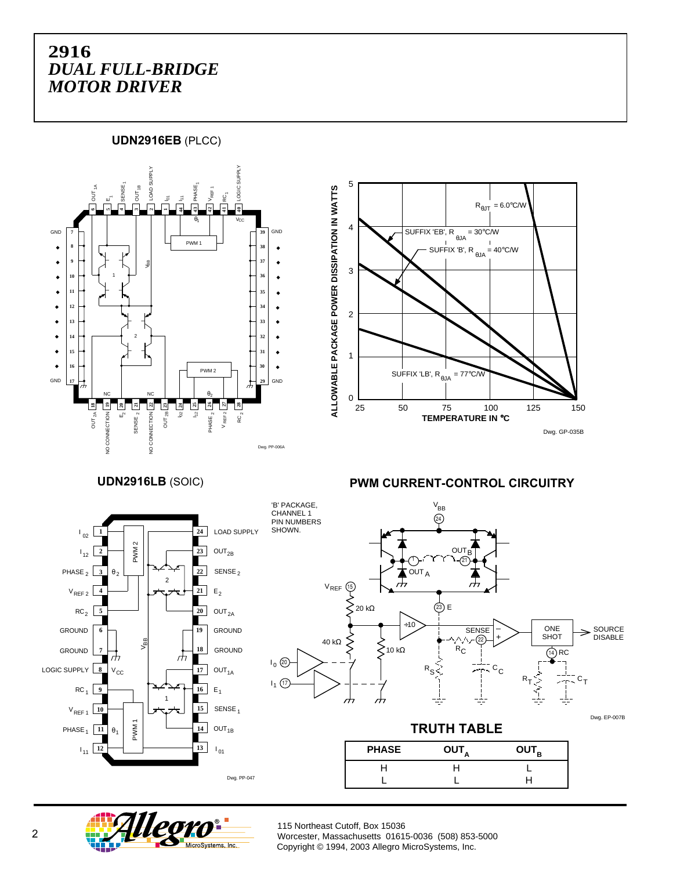**UDN2916EB** (PLCC)





**UDN2916LB** (SOIC) **PWM CURRENT-CONTROL CIRCUITRY**



'B' PACKAGE,  $V_{BB}$ CHANNEL<sub>1</sub>  $(24)$ PIN NUMBERS SHOWN.  $\Omega$ 1 21 OUT A  $\rm{V_{REF}}$  (15  $20$  kΩ 23) E ÷10  $SENSE$   $\sim$  ONE SOURCE – **SHOT** + DISABLE 40 kΩ 22 R<sub>C</sub> 10 kΩ  $(14)$  RC  $_{\rm 0}$  (20  $R_S$  $c_{\rm c}$  $R_{\mathsf{T}}$  $\mathsf{c}_\mathsf{T}$ I<sub>1</sub> (17  $\overline{a}$ Ξ. Dwg. EP-007B **TRUTH TABLE PHASE OUT**<sub>A</sub> **OUT**<sub>B</sub> HHL

LLH



115 Northeast Cutoff, Box 15036 Worcester, Massachusetts 01615-0036 (508) 853-5000 Copyright © 1994, 2003 Allegro MicroSystems, Inc.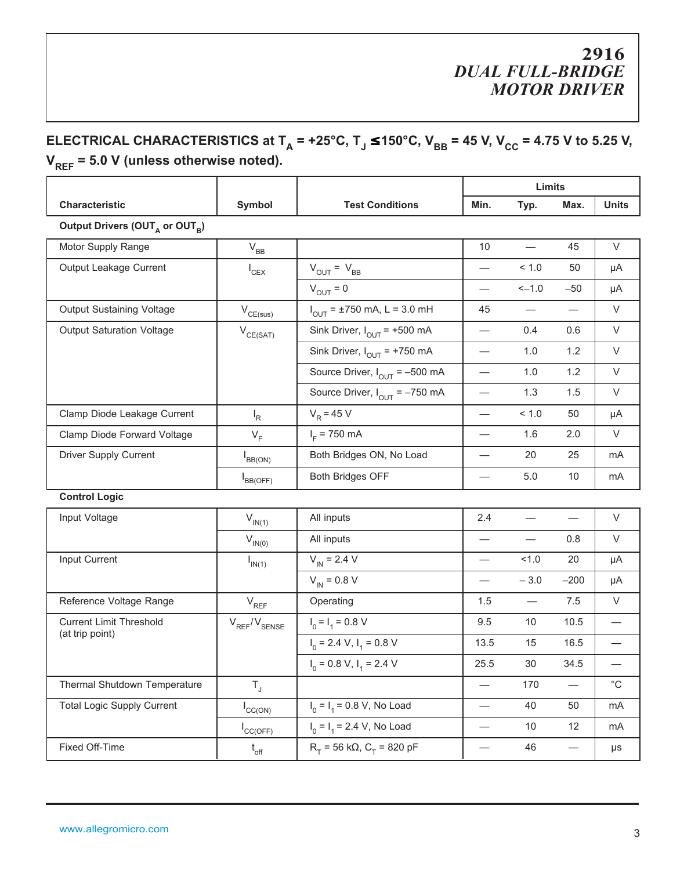## **ELECTRICAL CHARACTERISTICS at T<sub>A</sub> = +25°C, T<sub>J</sub> ≤ 150°C, V<sub>BB</sub> = 45 V, V<sub>CC</sub> = 4.75 V to 5.25 V, V<sub>REF</sub>** = 5.0 V (unless otherwise noted).

### **Limits Characteristic Symbol Test Conditions** Min. Typ. Max. Units Output Drivers (OUT<sub>A</sub> or OUT<sub>B</sub>) Motor Supply Range  $V_{BB}$   $V_{BB}$  10  $-$  45 V Output Leakage Current  $I_{CEX}$   $V_{OUT} = V_{BB}$   $I_{CEX}$   $1.0$  50 µA  $V_{\text{OUT}} = 0$   $-4.0$   $-50$   $\mu$ A Output Sustaining Voltage  $V_{CE(sus)}$  $I_{\text{OUT}}$  = ±750 mA, L = 3.0 mH  $\begin{vmatrix} 45 & - & - \end{vmatrix}$  V Output Saturation Voltage  $V_{CE(SAT)}$  Sink Driver,  $I_{OUT}$  = +500 mA  $-$  0.4 0.6 V Sink Driver,  $I_{OUT}$  = +750 mA  $\qquad$   $\qquad$   $\qquad$   $\qquad$  - 1.0 1.2  $\qquad$  V Source Driver,  $I_{\text{OUT}} = -500 \text{ mA}$   $-$  1.0 1.2 V Source Driver,  $I_{\text{OUT}}$  = –750 mA  $\begin{vmatrix} - & 1.3 & 1.5 \end{vmatrix}$  V Clamp Diode Leakage Current  $I_R$   $V_R$  = 45 V  $I_R$   $-$  < 1.0 50  $\mu$ A Clamp Diode Forward Voltage  $V_F$  $I_F$  = 750 mA  $I_F$  - 1.6 2.0 V Driver Supply Current  $I_{BB(ON)}$  Both Bridges ON, No Load  $I_{BB(ON)}$  mA  $I_{BB(OFF)}$ Both Bridges OFF  $\vert$   $-$  5.0 10  $\vert$  mA

#### **Control Logic**

| Input Voltage                                     | $V_{IN(1)}$                 | All inputs                             | 2.4  |        |        | $\vee$      |
|---------------------------------------------------|-----------------------------|----------------------------------------|------|--------|--------|-------------|
|                                                   | $V_{IN(0)}$                 | All inputs                             |      |        | 0.8    | $\vee$      |
| Input Current                                     | $I_{IN(1)}$                 | $V_{\text{IN}}$ = 2.4 V                |      | 1.0    | 20     | μA          |
|                                                   |                             | $V_{\text{IN}}$ = 0.8 V                |      | $-3.0$ | $-200$ | μA          |
| Reference Voltage Range                           | $V_{REF}$                   | Operating                              | 1.5  |        | 7.5    | V           |
| <b>Current Limit Threshold</b><br>(at trip point) | $V_{REF}/V_{SENSE}$         | $I_0 = I_1 = 0.8 V$                    | 9.5  | 10     | 10.5   |             |
|                                                   |                             | $I_0$ = 2.4 V, $I_1$ = 0.8 V           | 13.5 | 15     | 16.5   |             |
|                                                   |                             | $I_0 = 0.8 V$ , $I_1 = 2.4 V$          | 25.5 | 30     | 34.5   |             |
| Thermal Shutdown Temperature                      | $T_{\rm J}$                 |                                        |      | 170    |        | $^{\circ}C$ |
| <b>Total Logic Supply Current</b>                 | $\mathsf{ICC}(\mathsf{ON})$ | $I_0 = I_1 = 0.8$ V, No Load           |      | 40     | 50     | mA          |
|                                                   | ${}^{\mathsf{I}}$ CC(OFF)   | $I_0 = I_1 = 2.4$ V, No Load           |      | 10     | 12     | mA          |
| Fixed Off-Time                                    | $t_{\rm off}$               | $R_T$ = 56 kΩ, C <sub>T</sub> = 820 pF |      | 46     |        | μs          |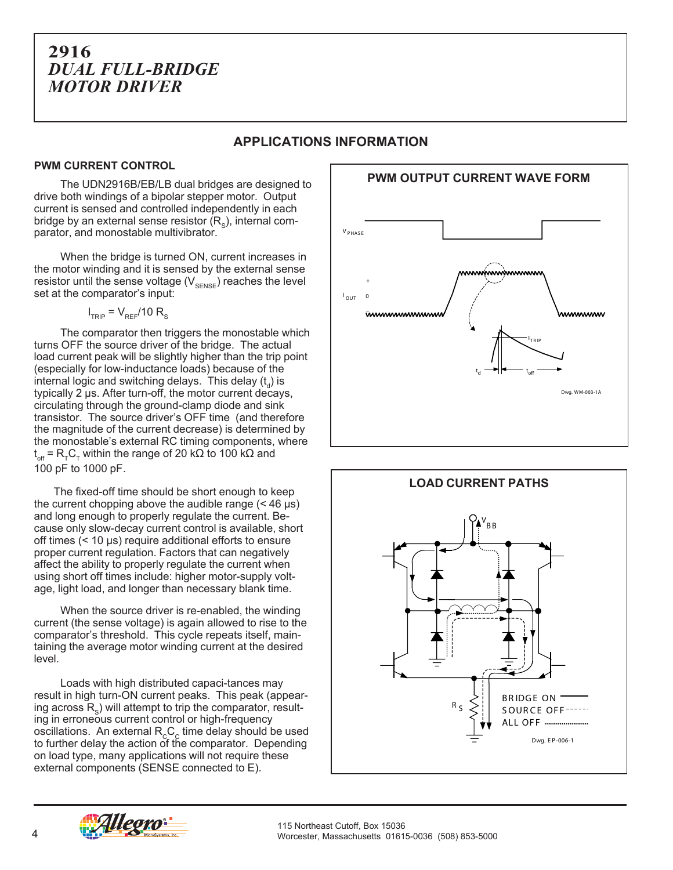#### **APPLICATIONS INFORMATION**

#### **PWM CURRENT CONTROL**

The UDN2916B/EB/LB dual bridges are designed to drive both windings of a bipolar stepper motor. Output current is sensed and controlled independently in each bridge by an external sense resistor  $(R_{\rm s})$ , internal comparator, and monostable multivibrator.

When the bridge is turned ON, current increases in the motor winding and it is sensed by the external sense resistor until the sense voltage  $(V_{\text{SENSE}})$  reaches the level set at the comparator's input:

 $I<sub>TRIP</sub> = V<sub>REF</sub>/10 R<sub>S</sub>$ 

The comparator then triggers the monostable which turns OFF the source driver of the bridge. The actual load current peak will be slightly higher than the trip point (especially for low-inductance loads) because of the internal logic and switching delays. This delay  $(t_{d})$  is typically 2 µs. After turn-off, the motor current decays, circulating through the ground-clamp diode and sink transistor. The source driver's OFF time (and therefore the magnitude of the current decrease) is determined by the monostable's external RC timing components, where  ${\rm t_{off}}$  =  ${\rm R_{_{T}C_{_{T}}}}$  within the range of 20 kΩ to 100 kΩ and 100 pF to 1000 pF.

The fixed-off time should be short enough to keep the current chopping above the audible range  $(< 46 \text{ }\mu\text{s})$ and long enough to properly regulate the current. Because only slow-decay current control is available, short off times (< 10 µs) require additional efforts to ensure proper current regulation. Factors that can negatively affect the ability to properly regulate the current when using short off times include: higher motor-supply voltage, light load, and longer than necessary blank time.

When the source driver is re-enabled, the winding current (the sense voltage) is again allowed to rise to the comparator's threshold. This cycle repeats itself, maintaining the average motor winding current at the desired level.

Loads with high distributed capaci-tances may result in high turn-ON current peaks. This peak (appearing across  $R_s$ ) will attempt to trip the comparator, resulting in erroneous current control or high-frequency oscillations. An external  $R_{c}C_{c}$  time delay should be used to further delay the action of the comparator. Depending on load type, many applications will not require these external components (SENSE connected to E).





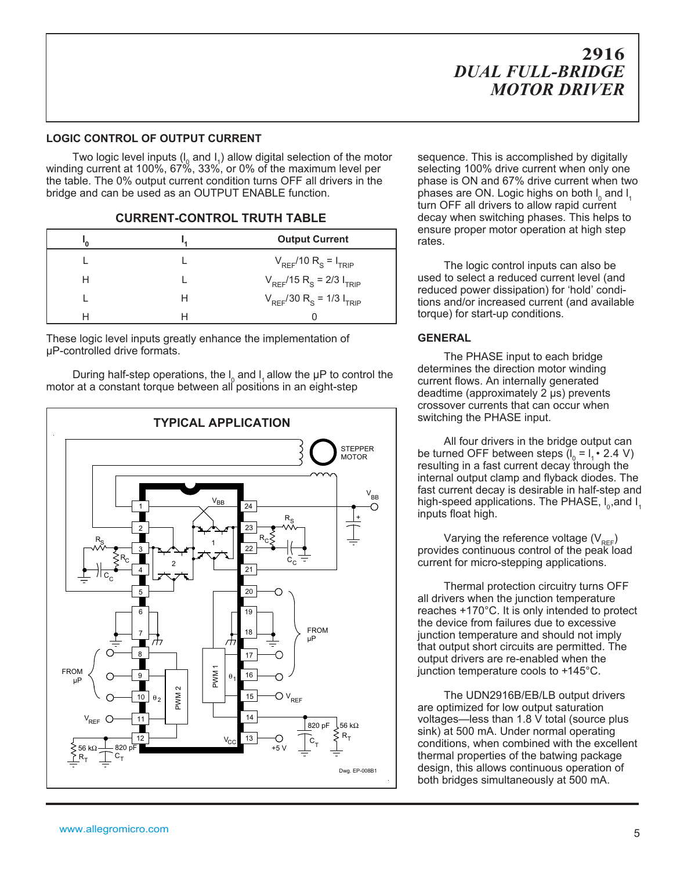#### **LOGIC CONTROL OF OUTPUT CURRENT**

Two logic level inputs  $(I_0$  and  $I_1$ ) allow digital selection of the motor winding current at 100%, 67%, 33%, or 0% of the maximum level per the table. The 0% output current condition turns OFF all drivers in the bridge and can be used as an OUTPUT ENABLE function.

#### **CURRENT-CONTROL TRUTH TABLE**

|   |   | <b>Output Current</b>                                |
|---|---|------------------------------------------------------|
|   |   | $V_{REF}$ /10 R <sub>S</sub> = I <sub>TRIP</sub>     |
| Н |   | $V_{REF}$ /15 R <sub>S</sub> = 2/3 I <sub>TRIP</sub> |
|   | H | $V_{REF}/30 R_S = 1/3 I_{TRIP}$                      |
|   |   |                                                      |

These logic level inputs greatly enhance the implementation of µP-controlled drive formats.

During half-step operations, the  $I_0$  and  $I_1$  allow the  $\mu$ P to control the motor at a constant torque between all positions in an eight-step



sequence. This is accomplished by digitally selecting 100% drive current when only one phase is ON and 67% drive current when two phases are ON. Logic highs on both  $I_0$  and  $I_1$ turn OFF all drivers to allow rapid current decay when switching phases. This helps to ensure proper motor operation at high step rates.

The logic control inputs can also be used to select a reduced current level (and reduced power dissipation) for 'hold' conditions and/or increased current (and available torque) for start-up conditions.

#### **GENERAL**

The PHASE input to each bridge determines the direction motor winding current flows. An internally generated deadtime (approximately 2 µs) prevents crossover currents that can occur when switching the PHASE input.

All four drivers in the bridge output can be turned OFF between steps  $(I_0 = I_1 \cdot 2.4 \text{ V})$ resulting in a fast current decay through the internal output clamp and flyback diodes. The fast current decay is desirable in half-step and high-speed applications. The PHASE,  $I_0$ , and  $I_1$ inputs float high.

Varying the reference voltage  $(V_{REF})$ provides continuous control of the peak load current for micro-stepping applications.

Thermal protection circuitry turns OFF all drivers when the junction temperature reaches +170°C. It is only intended to protect the device from failures due to excessive junction temperature and should not imply that output short circuits are permitted. The output drivers are re-enabled when the junction temperature cools to +145°C.

The UDN2916B/EB/LB output drivers are optimized for low output saturation voltages—less than 1.8 V total (source plus sink) at 500 mA. Under normal operating conditions, when combined with the excellent thermal properties of the batwing package design, this allows continuous operation of both bridges simultaneously at 500 mA.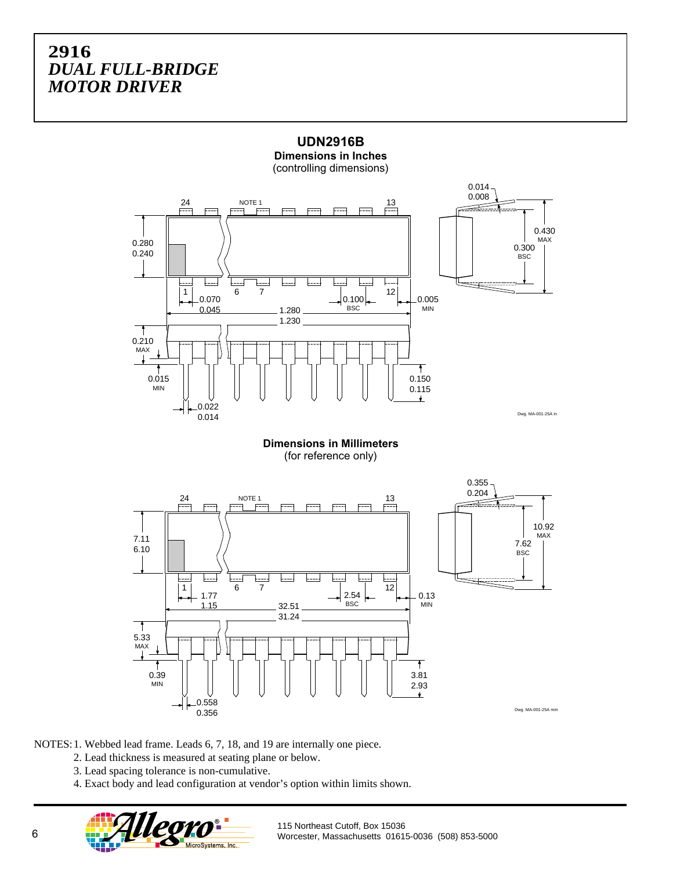

**UDN2916B**

**Dimensions in Inches**

**Dimensions in Millimeters** (for reference only)



NOTES:1. Webbed lead frame. Leads 6, 7, 18, and 19 are internally one piece.

- 2. Lead thickness is measured at seating plane or below.
- 3. Lead spacing tolerance is non-cumulative.
- 4. Exact body and lead configuration at vendor's option within limits shown.

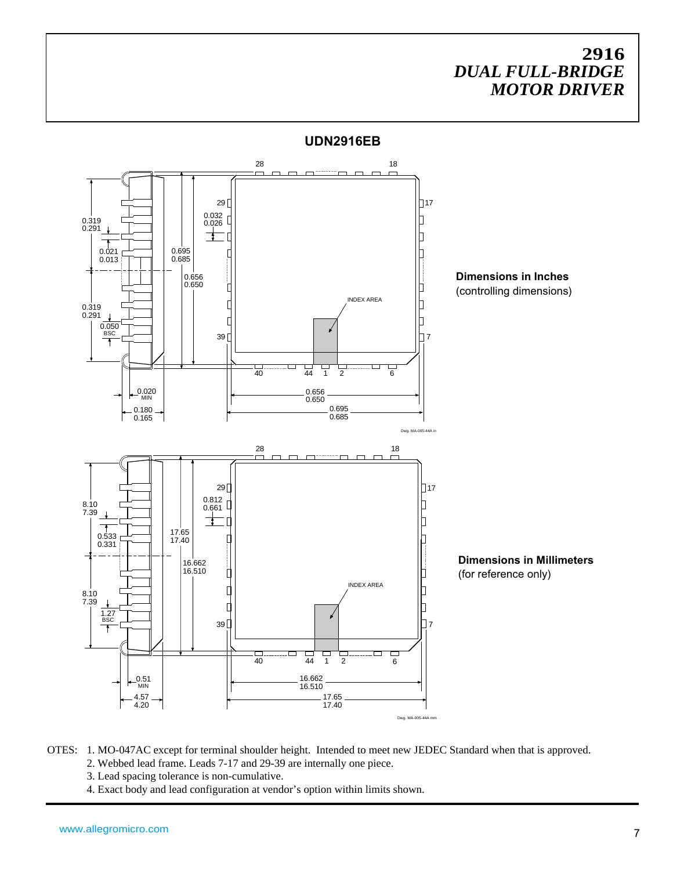

OTES: 1. MO-047AC except for terminal shoulder height. Intended to meet new JEDEC Standard when that is approved. 2. Webbed lead frame. Leads 7-17 and 29-39 are internally one piece.

- 3. Lead spacing tolerance is non-cumulative.
- 4. Exact body and lead configuration at vendor's option within limits shown.